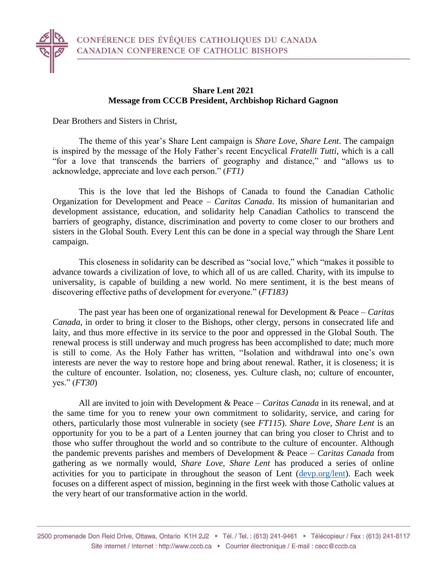## **Share Lent 2021 Message from CCCB President, Archbishop Richard Gagnon**

Dear Brothers and Sisters in Christ,

The theme of this year's Share Lent campaign is *Share Love, Share Lent*. The campaign is inspired by the message of the Holy Father's recent Encyclical *Fratelli Tutti*, which is a call "for a love that transcends the barriers of geography and distance," and "allows us to acknowledge, appreciate and love each person." (*FT1)*

This is the love that led the Bishops of Canada to found the Canadian Catholic Organization for Development and Peace – *Caritas Canada*. Its mission of humanitarian and development assistance, education, and solidarity help Canadian Catholics to transcend the barriers of geography, distance, discrimination and poverty to come closer to our brothers and sisters in the Global South. Every Lent this can be done in a special way through the Share Lent campaign.

This closeness in solidarity can be described as "social love," which "makes it possible to advance towards a civilization of love, to which all of us are called. Charity, with its impulse to universality, is capable of building a new world. No mere sentiment, it is the best means of discovering effective paths of development for everyone." (*FT183)*

The past year has been one of organizational renewal for Development & Peace – *Caritas Canada*, in order to bring it closer to the Bishops, other clergy, persons in consecrated life and laity, and thus more effective in its service to the poor and oppressed in the Global South. The renewal process is still underway and much progress has been accomplished to date; much more is still to come. As the Holy Father has written, "Isolation and withdrawal into one's own interests are never the way to restore hope and bring about renewal. Rather, it is closeness; it is the culture of encounter. Isolation, no; closeness, yes. Culture clash, no; culture of encounter, yes." (*FT30*)

All are invited to join with Development & Peace – *Caritas Canada* in its renewal, and at the same time for you to renew your own commitment to solidarity, service, and caring for others, particularly those most vulnerable in society (see *FT115*). *Share Love, Share Lent* is an opportunity for you to be a part of a Lenten journey that can bring you closer to Christ and to those who suffer throughout the world and so contribute to the culture of encounter. Although the pandemic prevents parishes and members of Development & Peace – *Caritas Canada* from gathering as we normally would, *Share Love, Share Lent* has produced a series of online activities for you to participate in throughout the season of Lent [\(devp.org/lent\)](https://www.devp.org/en/campaign/sharelove). Each week focuses on a different aspect of mission, beginning in the first week with those Catholic values at the very heart of our transformative action in the world.